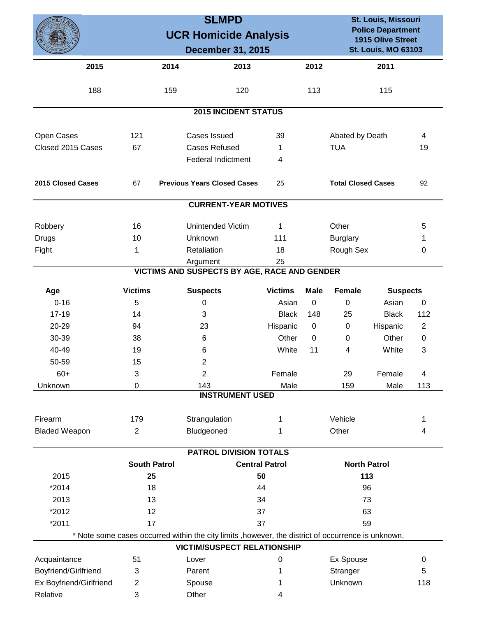|                         |                     | <b>SLMPD</b><br><b>UCR Homicide Analysis</b><br><b>December 31, 2015</b>                            |                       |             |                                 |                 | St. Louis, Missouri<br><b>Police Department</b><br><b>1915 Olive Street</b><br><b>St. Louis, MO 63103</b> |  |
|-------------------------|---------------------|-----------------------------------------------------------------------------------------------------|-----------------------|-------------|---------------------------------|-----------------|-----------------------------------------------------------------------------------------------------------|--|
| 2015                    | 2014                | 2013                                                                                                |                       | 2012        |                                 | 2011            |                                                                                                           |  |
| 188                     | 159                 | 120                                                                                                 |                       | 113         |                                 | 115             |                                                                                                           |  |
|                         |                     | <b>2015 INCIDENT STATUS</b>                                                                         |                       |             |                                 |                 |                                                                                                           |  |
| Open Cases              | 121                 | Cases Issued                                                                                        | 39                    |             | Abated by Death                 |                 | 4                                                                                                         |  |
| Closed 2015 Cases       | 67                  | <b>Cases Refused</b>                                                                                | 1                     |             | <b>TUA</b><br>19                |                 |                                                                                                           |  |
|                         |                     | <b>Federal Indictment</b>                                                                           | 4                     |             |                                 |                 |                                                                                                           |  |
| 2015 Closed Cases       | 67                  | <b>Previous Years Closed Cases</b>                                                                  | 25                    |             | <b>Total Closed Cases</b><br>92 |                 |                                                                                                           |  |
|                         |                     | <b>CURRENT-YEAR MOTIVES</b>                                                                         |                       |             |                                 |                 |                                                                                                           |  |
| Robbery                 | 16                  | <b>Unintended Victim</b>                                                                            | 1                     |             | Other                           |                 | 5                                                                                                         |  |
| Drugs                   | 10                  | Unknown                                                                                             | 111                   |             | <b>Burglary</b>                 |                 | 1                                                                                                         |  |
| Fight                   | 1                   | Retaliation                                                                                         | 18                    |             | Rough Sex                       |                 | 0                                                                                                         |  |
|                         |                     | Argument                                                                                            | 25                    |             |                                 |                 |                                                                                                           |  |
|                         |                     | VICTIMS AND SUSPECTS BY AGE, RACE AND GENDER                                                        |                       |             |                                 |                 |                                                                                                           |  |
| Age                     | <b>Victims</b>      | <b>Suspects</b>                                                                                     | <b>Victims</b>        | <b>Male</b> | <b>Female</b>                   | <b>Suspects</b> |                                                                                                           |  |
| $0 - 16$                | 5                   | 0                                                                                                   | Asian                 | $\mathbf 0$ | $\mathbf 0$                     | Asian           | $\mathbf 0$                                                                                               |  |
| $17 - 19$               | 14                  | 3                                                                                                   | <b>Black</b>          | 148         | 25                              | <b>Black</b>    | 112                                                                                                       |  |
| 20-29                   | 94                  | 23                                                                                                  | Hispanic              | 0           | 0                               | Hispanic        | $\overline{c}$                                                                                            |  |
| 30-39                   | 38                  | 6                                                                                                   | Other                 | 0           | 0                               | Other           | $\mathbf 0$                                                                                               |  |
| 40-49                   | 19                  | 6                                                                                                   | White                 | 11          | 4                               | White           | 3                                                                                                         |  |
| 50-59                   | 15                  | $\overline{c}$                                                                                      |                       |             |                                 |                 |                                                                                                           |  |
| $60+$                   | 3                   | $\overline{2}$                                                                                      | Female                |             | 29                              | Female          | 4                                                                                                         |  |
| Unknown                 | 0                   | 143                                                                                                 | Male                  |             | 159                             | Male            | 113                                                                                                       |  |
|                         |                     | <b>INSTRUMENT USED</b>                                                                              |                       |             |                                 |                 |                                                                                                           |  |
| Firearm                 | 179                 | Strangulation                                                                                       | 1                     |             | Vehicle                         |                 | 1                                                                                                         |  |
| <b>Bladed Weapon</b>    | $\overline{2}$      | Bludgeoned                                                                                          | 1                     |             | Other                           |                 | 4                                                                                                         |  |
|                         |                     | PATROL DIVISION TOTALS                                                                              |                       |             |                                 |                 |                                                                                                           |  |
|                         | <b>South Patrol</b> |                                                                                                     | <b>Central Patrol</b> |             | <b>North Patrol</b>             |                 |                                                                                                           |  |
| 2015                    | 25                  |                                                                                                     | 50                    |             | 113                             |                 |                                                                                                           |  |
| *2014                   | 18                  | 44<br>96                                                                                            |                       |             |                                 |                 |                                                                                                           |  |
| 2013                    | 13                  | 73<br>34                                                                                            |                       |             |                                 |                 |                                                                                                           |  |
| *2012                   | 12                  | 37                                                                                                  |                       | 63          |                                 |                 |                                                                                                           |  |
| *2011                   | 17                  |                                                                                                     | 37<br>59              |             |                                 |                 |                                                                                                           |  |
|                         |                     | * Note some cases occurred within the city limits , however, the district of occurrence is unknown. |                       |             |                                 |                 |                                                                                                           |  |
|                         |                     | <b>VICTIM/SUSPECT RELATIONSHIP</b>                                                                  |                       |             |                                 |                 |                                                                                                           |  |
| Acquaintance            | 51                  | Lover                                                                                               | 0                     |             | Ex Spouse                       |                 | 0                                                                                                         |  |
| Boyfriend/Girlfriend    | 3                   | Parent                                                                                              | 1                     |             | Stranger                        |                 | 5                                                                                                         |  |
| Ex Boyfriend/Girlfriend | $\overline{2}$      | Spouse                                                                                              | 1                     |             | Unknown                         |                 | 118                                                                                                       |  |
| Relative                | $\sqrt{3}$          | Other                                                                                               | 4                     |             |                                 |                 |                                                                                                           |  |